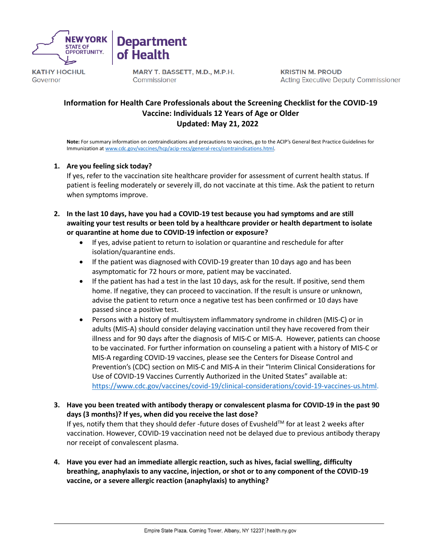

**KATHY HOCHUL** Governor

MARY T. BASSETT, M.D., M.P.H. Commissioner

**Department** 

of Health

**KRISTIN M. PROUD Acting Executive Deputy Commissioner** 

## **Information for Health Care Professionals about the Screening Checklist for the COVID-19 Vaccine: Individuals 12 Years of Age or Older Updated: May 21, 2022**

**Note:** For summary information on contraindications and precautions to vaccines, go to the ACIP's General Best Practice Guidelines for Immunization at [www.cdc.gov/vaccines/hcp/acip-recs/general-recs/contraindications.html.](http://www.cdc.gov/vaccines/hcp/acip-recs/general-recs/contraindications.html)

#### **1. Are you feeling sick today?**

If yes, refer to the vaccination site healthcare provider for assessment of current health status. If patient is feeling moderately or severely ill, do not vaccinate at this time. Ask the patient to return when symptoms improve.

- **2. In the last 10 days, have you had a COVID-19 test because you had symptoms and are still awaiting your test results or been told by a healthcare provider or health department to isolate or quarantine at home due to COVID-19 infection or exposure?**
	- If yes, advise patient to return to isolation or quarantine and reschedule for after isolation/quarantine ends.
	- If the patient was diagnosed with COVID-19 greater than 10 days ago and has been asymptomatic for 72 hours or more, patient may be vaccinated.
	- If the patient has had a test in the last 10 days, ask for the result. If positive, send them home. If negative, they can proceed to vaccination. If the result is unsure or unknown, advise the patient to return once a negative test has been confirmed or 10 days have passed since a positive test.
	- Persons with a history of multisystem inflammatory syndrome in children (MIS-C) or in adults (MIS-A) should consider delaying vaccination until they have recovered from their illness and for 90 days after the diagnosis of MIS-C or MIS-A. However, patients can choose to be vaccinated. For further information on counseling a patient with a history of MIS-C or MIS-A regarding COVID-19 vaccines, please see the Centers for Disease Control and Prevention's (CDC) section on MIS-C and MIS-A in their "Interim Clinical Considerations for Use of COVID-19 Vaccines Currently Authorized in the United States" available at: [https://www.cdc.gov/vaccines/covid-19/clinical-considerations/covid-19-vaccines-us.html.](https://www.cdc.gov/vaccines/covid-19/clinical-considerations/covid-19-vaccines-us.html)
- **3. Have you been treated with antibody therapy or convalescent plasma for COVID-19 in the past 90 days (3 months)? If yes, when did you receive the last dose?**

If yes, notify them that they should defer -future doses of Evusheld™ for at least 2 weeks after vaccination. However, COVID-19 vaccination need not be delayed due to previous antibody therapy nor receipt of convalescent plasma.

**4. Have you ever had an immediate allergic reaction, such as hives, facial swelling, difficulty breathing, anaphylaxis to any vaccine, injection, or shot or to any component of the COVID-19 vaccine, or a severe allergic reaction (anaphylaxis) to anything?**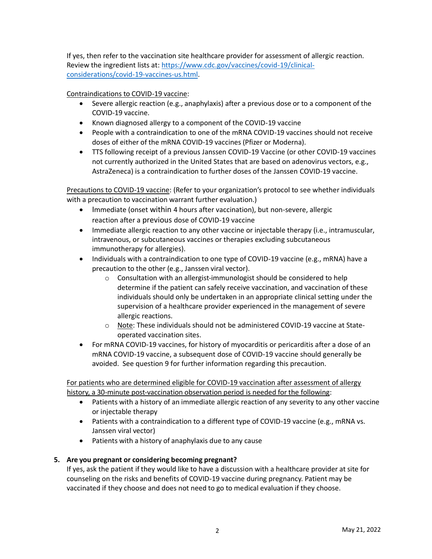If yes, then refer to the vaccination site healthcare provider for assessment of allergic reaction. Review the ingredient lists at: [https://www.cdc.gov/vaccines/covid-19/clinical](https://www.cdc.gov/vaccines/covid-19/clinical-considerations/covid-19-vaccines-us.html)[considerations/covid-19-vaccines-us.html.](https://www.cdc.gov/vaccines/covid-19/clinical-considerations/covid-19-vaccines-us.html)

Contraindications to COVID-19 vaccine:

- Severe allergic reaction (e.g., anaphylaxis) after a previous dose or to a component of the COVID-19 vaccine.
- Known diagnosed allergy to a component of the COVID-19 vaccine
- People with a contraindication to one of the mRNA COVID-19 vaccines should not receive doses of either of the mRNA COVID-19 vaccines (Pfizer or Moderna).
- TTS following receipt of a previous Janssen COVID-19 Vaccine (or other COVID-19 vaccines not currently authorized in the United States that are based on adenovirus vectors, e.g., AstraZeneca) is a contraindication to further doses of the Janssen COVID-19 vaccine.

Precautions to COVID-19 vaccine: (Refer to your organization's protocol to see whether individuals with a precaution to vaccination warrant further evaluation.)

- Immediate (onset within 4 hours after vaccination), but non-severe, allergic reaction after a previous dose of COVID-19 vaccine
- Immediate allergic reaction to any other vaccine or injectable therapy (i.e., intramuscular, intravenous, or subcutaneous vaccines or therapies excluding subcutaneous immunotherapy for allergies).
- Individuals with a contraindication to one type of COVID-19 vaccine (e.g., mRNA) have a precaution to the other (e.g., Janssen viral vector).
	- o Consultation with an allergist-immunologist should be considered to help determine if the patient can safely receive vaccination, and vaccination of these individuals should only be undertaken in an appropriate clinical setting under the supervision of a healthcare provider experienced in the management of severe allergic reactions.
	- o Note: These individuals should not be administered COVID-19 vaccine at Stateoperated vaccination sites.
- For mRNA COVID-19 vaccines, for history of myocarditis or pericarditis after a dose of an mRNA COVID-19 vaccine, a subsequent dose of COVID-19 vaccine should generally be avoided. See question 9 for further information regarding this precaution.

For patients who are determined eligible for COVID-19 vaccination after assessment of allergy history, a 30-minute post-vaccination observation period is needed for the following:

- Patients with a history of an immediate allergic reaction of any severity to any other vaccine or injectable therapy
- Patients with a contraindication to a different type of COVID-19 vaccine (e.g., mRNA vs. Janssen viral vector)
- Patients with a history of anaphylaxis due to any cause

## **5. Are you pregnant or considering becoming pregnant?**

If yes, ask the patient if they would like to have a discussion with a healthcare provider at site for counseling on the risks and benefits of COVID-19 vaccine during pregnancy. Patient may be vaccinated if they choose and does not need to go to medical evaluation if they choose.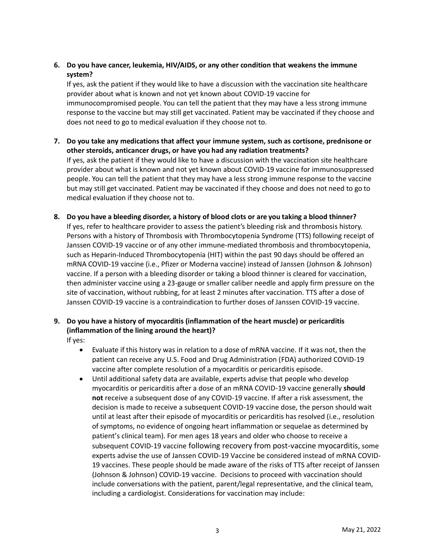## **6. Do you have cancer, leukemia, HIV/AIDS, or any other condition that weakens the immune system?**

If yes, ask the patient if they would like to have a discussion with the vaccination site healthcare provider about what is known and not yet known about COVID-19 vaccine for immunocompromised people. You can tell the patient that they may have a less strong immune response to the vaccine but may still get vaccinated. Patient may be vaccinated if they choose and does not need to go to medical evaluation if they choose not to.

- **7. Do you take any medications that affect your immune system, such as cortisone, prednisone or other steroids, anticancer drugs, or have you had any radiation treatments?** If yes, ask the patient if they would like to have a discussion with the vaccination site healthcare provider about what is known and not yet known about COVID-19 vaccine for immunosuppressed people. You can tell the patient that they may have a less strong immune response to the vaccine but may still get vaccinated. Patient may be vaccinated if they choose and does not need to go to medical evaluation if they choose not to.
- **8. Do you have a bleeding disorder, a history of blood clots or are you taking a blood thinner?** If yes, refer to healthcare provider to assess the patient's bleeding risk and thrombosis history. Persons with a history of Thrombosis with Thrombocytopenia Syndrome (TTS) following receipt of Janssen COVID-19 vaccine or of any other immune-mediated thrombosis and thrombocytopenia, such as Heparin-Induced Thrombocytopenia (HIT) within the past 90 days should be offered an mRNA COVID-19 vaccine (i.e., Pfizer or Moderna vaccine) instead of Janssen (Johnson & Johnson) vaccine. If a person with a bleeding disorder or taking a blood thinner is cleared for vaccination, then administer vaccine using a 23-gauge or smaller caliber needle and apply firm pressure on the site of vaccination, without rubbing, for at least 2 minutes after vaccination. TTS after a dose of Janssen COVID-19 vaccine is a contraindication to further doses of Janssen COVID-19 vaccine.

# **9. Do you have a history of myocarditis (inflammation of the heart muscle) or pericarditis (inflammation of the lining around the heart)?**

If yes:

- Evaluate if this history was in relation to a dose of mRNA vaccine. If it was not, then the patient can receive any U.S. Food and Drug Administration (FDA) authorized COVID-19 vaccine after complete resolution of a myocarditis or pericarditis episode.
- Until additional safety data are available, experts advise that people who develop myocarditis or pericarditis after a dose of an mRNA COVID-19 vaccine generally **should not** receive a subsequent dose of any COVID-19 vaccine. If after a risk assessment, the decision is made to receive a subsequent COVID-19 vaccine dose, the person should wait until at least after their episode of myocarditis or pericarditis has resolved (i.e., resolution of symptoms, no evidence of ongoing heart inflammation or sequelae as determined by patient's clinical team). For men ages 18 years and older who choose to receive a subsequent COVID-19 vaccine following recovery from post-vaccine myocarditis, some experts advise the use of Janssen COVID-19 Vaccine be considered instead of mRNA COVID-19 vaccines. These people should be made aware of the risks of TTS after receipt of Janssen (Johnson & Johnson) COVID-19 vaccine. Decisions to proceed with vaccination should include conversations with the patient, parent/legal representative, and the clinical team, including a cardiologist. Considerations for vaccination may include: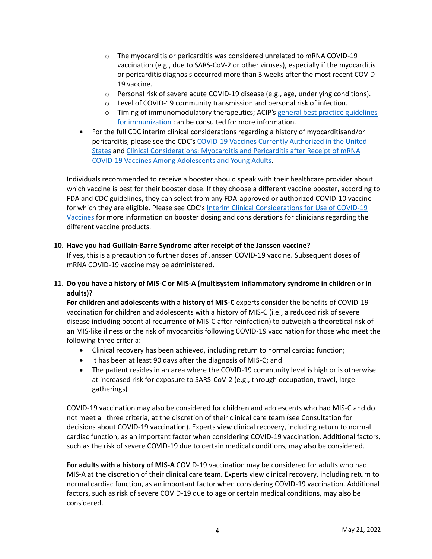- $\circ$  The myocarditis or pericarditis was considered unrelated to mRNA COVID-19 vaccination (e.g., due to SARS-CoV-2 or other viruses), especially if the myocarditis or pericarditis diagnosis occurred more than 3 weeks after the most recent COVID-19 vaccine.
- $\circ$  Personal risk of severe acute COVID-19 disease (e.g., age, underlying conditions).
- o Level of COVID-19 community transmission and personal risk of infection.
- o Timing of immunomodulatory therapeutics; ACIP's [general best practice guidelines](https://www.cdc.gov/vaccines/hcp/acip-recs/general-recs/index.html)  [for immunization](https://www.cdc.gov/vaccines/hcp/acip-recs/general-recs/index.html) can be consulted for more information.
- For the full CDC interim clinical considerations regarding a history of myocarditisand/or pericarditis, please see the CDC's [COVID-19 Vaccines Currently Authorized in the United](https://www.cdc.gov/coronavirus/2019-ncov/vaccines/different-vaccines.html)  [States](https://www.cdc.gov/coronavirus/2019-ncov/vaccines/different-vaccines.html) and [Clinical Considerations: Myocarditis and Pericarditis after Receipt of mRNA](https://www.cdc.gov/vaccines/covid-19/clinical-considerations/myocarditis.html)  COVID-19 Vaccines Among [Adolescents and](https://www.cdc.gov/vaccines/covid-19/clinical-considerations/myocarditis.html) Young Adults.

Individuals recommended to receive a booster should speak with their healthcare provider about which vaccine is best for their booster dose. If they choose a different vaccine booster, according to FDA and CDC guidelines, they can select from any FDA-approved or authorized COVID-10 vaccine for which they are eligible. Please see CDC's Interim Clinical Considerations for Use of COVID-19 [Vaccines](https://www.cdc.gov/vaccines/covid-19/clinical-considerations/covid-19-vaccines-us.html) for more information on booster dosing and considerations for clinicians regarding the different vaccine products.

#### **10. Have you had Guillain-Barre Syndrome after receipt of the Janssen vaccine?**

If yes, this is a precaution to further doses of Janssen COVID-19 vaccine. Subsequent doses of mRNA COVID-19 vaccine may be administered.

## **11. Do you have a history of MIS-C or MIS-A (multisystem inflammatory syndrome in children or in adults)?**

For children and adolescents with a history of MIS-C experts consider the benefits of COVID-19 vaccination for children and adolescents with a history of MIS-C (i.e., a reduced risk of severe disease including potential recurrence of MIS-C after reinfection) to outweigh a theoretical risk of an MIS-like illness or the risk of myocarditis following COVID-19 vaccination for those who meet the following three criteria:

- Clinical recovery has been achieved, including return to normal cardiac function;
- It has been at least 90 days after the diagnosis of MIS-C; and
- The patient resides in an area where the COVID-19 community level is high or is otherwise at increased risk for exposure to SARS-CoV-2 (e.g., through occupation, travel, large gatherings)

COVID-19 vaccination may also be considered for children and adolescents who had MIS-C and do not meet all three criteria, at the discretion of their clinical care team (see Consultation for decisions about COVID-19 vaccination). Experts view clinical recovery, including return to normal cardiac function, as an important factor when considering COVID-19 vaccination. Additional factors, such as the risk of severe COVID-19 due to certain medical conditions, may also be considered.

**For adults with a history of MIS-A** COVID-19 vaccination may be considered for adults who had MIS-A at the discretion of their clinical care team. Experts view clinical recovery, including return to normal cardiac function, as an important factor when considering COVID-19 vaccination. Additional factors, such as risk of severe COVID-19 due to age or certain medical conditions, may also be considered.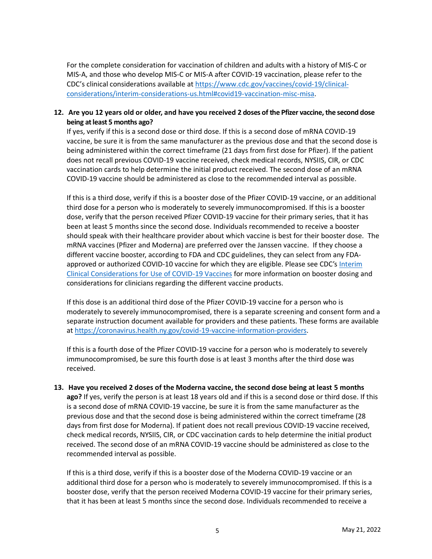For the complete consideration for vaccination of children and adults with a history of MIS-C or MIS-A, and those who develop MIS-C or MIS-A after COVID-19 vaccination, please refer to the CDC's clinical considerations available at [https://www.cdc.gov/vaccines/covid-19/clinical](https://www.cdc.gov/vaccines/covid-19/clinical-considerations/interim-considerations-us.html#covid19-vaccination-misc-misa)[considerations/interim-considerations-us.html#covid19-vaccination-misc-misa.](https://www.cdc.gov/vaccines/covid-19/clinical-considerations/interim-considerations-us.html#covid19-vaccination-misc-misa)

#### **12. Are you 12 years old or older, and have you received 2 doses of the Pfizer vaccine, the second dose being at least 5 months ago?**

If yes, verify if this is a second dose or third dose. If this is a second dose of mRNA COVID-19 vaccine, be sure it is from the same manufacturer as the previous dose and that the second dose is being administered within the correct timeframe (21 days from first dose for Pfizer). If the patient does not recall previous COVID-19 vaccine received, check medical records, NYSIIS, CIR, or CDC vaccination cards to help determine the initial product received. The second dose of an mRNA COVID-19 vaccine should be administered as close to the recommended interval as possible.

If this is a third dose, verify if this is a booster dose of the Pfizer COVID-19 vaccine, or an additional third dose for a person who is moderately to severely immunocompromised. If this is a booster dose, verify that the person received Pfizer COVID-19 vaccine for their primary series, that it has been at least 5 months since the second dose. Individuals recommended to receive a booster should speak with their healthcare provider about which vaccine is best for their booster dose. The mRNA vaccines (Pfizer and Moderna) are preferred over the Janssen vaccine. If they choose a different vaccine booster, according to FDA and CDC guidelines, they can select from any FDAapproved or authorized COVID-10 vaccine for which they are eligible. Please see CDC's Interim [Clinical Considerations for Use of COVID-19 Vaccines](https://www.cdc.gov/vaccines/covid-19/clinical-considerations/covid-19-vaccines-us.html) for more information on booster dosing and considerations for clinicians regarding the different vaccine products.

If this dose is an additional third dose of the Pfizer COVID-19 vaccine for a person who is moderately to severely immunocompromised, there is a separate screening and consent form and a separate instruction document available for providers and these patients. These forms are available at [https://coronavirus.health.ny.gov/covid-19-vaccine-information-providers.](https://coronavirus.health.ny.gov/covid-19-vaccine-information-providers)

If this is a fourth dose of the Pfizer COVID-19 vaccine for a person who is moderately to severely immunocompromised, be sure this fourth dose is at least 3 months after the third dose was received.

**13. Have you received 2 doses of the Moderna vaccine, the second dose being at least 5 months ago?** If yes, verify the person is at least 18 years old and if this is a second dose or third dose. If this is a second dose of mRNA COVID-19 vaccine, be sure it is from the same manufacturer as the previous dose and that the second dose is being administered within the correct timeframe (28 days from first dose for Moderna). If patient does not recall previous COVID-19 vaccine received, check medical records, NYSIIS, CIR, or CDC vaccination cards to help determine the initial product received. The second dose of an mRNA COVID-19 vaccine should be administered as close to the recommended interval as possible.

If this is a third dose, verify if this is a booster dose of the Moderna COVID-19 vaccine or an additional third dose for a person who is moderately to severely immunocompromised. If this is a booster dose, verify that the person received Moderna COVID-19 vaccine for their primary series, that it has been at least 5 months since the second dose. Individuals recommended to receive a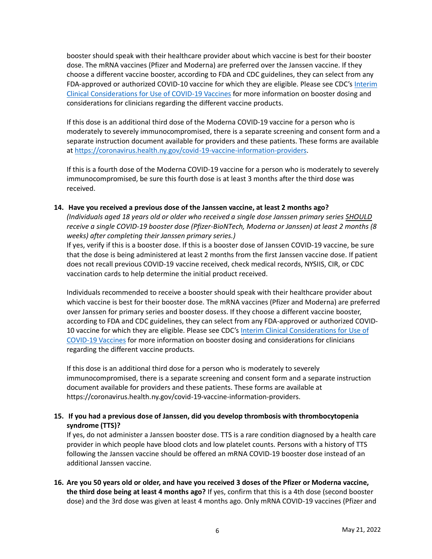booster should speak with their healthcare provider about which vaccine is best for their booster dose. The mRNA vaccines (Pfizer and Moderna) are preferred over the Janssen vaccine. If they choose a different vaccine booster, according to FDA and CDC guidelines, they can select from any FDA-approved or authorized COVID-10 vaccine for which they are eligible. Please see CDC's Interim [Clinical Considerations for Use of COVID-19 Vaccines](https://coronavirus.health.ny.gov/covid-19-vaccine-information-providers) for more information on booster dosing and considerations for clinicians regarding the different vaccine products.

If this dose is an additional third dose of the Moderna COVID-19 vaccine for a person who is moderately to severely immunocompromised, there is a separate screening and consent form and a separate instruction document available for providers and these patients. These forms are available at [https://coronavirus.health.ny.gov/covid-19-vaccine-information-providers.](https://coronavirus.health.ny.gov/covid-19-vaccine-information-providers)

If this is a fourth dose of the Moderna COVID-19 vaccine for a person who is moderately to severely immunocompromised, be sure this fourth dose is at least 3 months after the third dose was received.

#### **14. Have you received a previous dose of the Janssen vaccine, at least 2 months ago?**

*(Individuals aged 18 years old or older who received a single dose Janssen primary series SHOULD receive a single COVID-19 booster dose (Pfizer-BioNTech, Moderna or Janssen) at least 2 months (8 weeks) after completing their Janssen primary series.)* 

If yes, verify if this is a booster dose. If this is a booster dose of Janssen COVID-19 vaccine, be sure that the dose is being administered at least 2 months from the first Janssen vaccine dose. If patient does not recall previous COVID-19 vaccine received, check medical records, NYSIIS, CIR, or CDC vaccination cards to help determine the initial product received.

Individuals recommended to receive a booster should speak with their healthcare provider about which vaccine is best for their booster dose. The mRNA vaccines (Pfizer and Moderna) are preferred over Janssen for primary series and booster dosess. If they choose a different vaccine booster, according to FDA and CDC guidelines, they can select from any FDA-approved or authorized COVID-10 vaccine for which they are eligible. Please see CDC's [Interim Clinical Considerations for Use of](https://coronavirus.health.ny.gov/covid-19-vaccine-information-providers)  [COVID-19 Vaccines](https://coronavirus.health.ny.gov/covid-19-vaccine-information-providers) for more information on booster dosing and considerations for clinicians regarding the different vaccine products.

If this dose is an additional third dose for a person who is moderately to severely immunocompromised, there is a separate screening and consent form and a separate instruction document available for providers and these patients. These forms are available at https://coronavirus.health.ny.gov/covid-19-vaccine-information-providers.

#### **15. If you had a previous dose of Janssen, did you develop thrombosis with thrombocytopenia syndrome (TTS)?**

If yes, do not administer a Janssen booster dose. TTS is a rare condition diagnosed by a health care provider in which people have blood clots and low platelet counts. Persons with a history of TTS following the Janssen vaccine should be offered an mRNA COVID-19 booster dose instead of an additional Janssen vaccine.

**16. Are you 50 years old or older, and have you received 3 doses of the Pfizer or Moderna vaccine, the third dose being at least 4 months ago?** If yes, confirm that this is a 4th dose (second booster dose) and the 3rd dose was given at least 4 months ago. Only mRNA COVID-19 vaccines (Pfizer and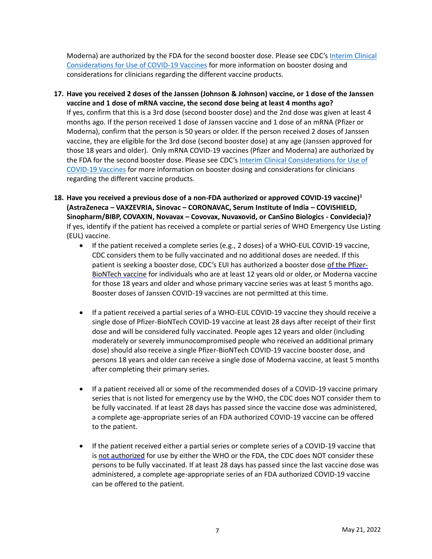Moderna) are authorized by the FDA for the second booster dose. Please see CDC's [Interim Clinical](https://coronavirus.health.ny.gov/covid-19-vaccine-information-providers)  [Considerations for Use of COVID-19 Vaccines](https://coronavirus.health.ny.gov/covid-19-vaccine-information-providers) for more information on booster dosing and considerations for clinicians regarding the different vaccine products.

- **17. Have you received 2 doses of the Janssen (Johnson & Johnson) vaccine, or 1 dose of the Janssen vaccine and 1 dose of mRNA vaccine, the second dose being at least 4 months ago?** If yes, confirm that this is a 3rd dose (second booster dose) and the 2nd dose was given at least 4 months ago. If the person received 1 dose of Janssen vaccine and 1 dose of an mRNA (Pfizer or Moderna), confirm that the person is 50 years or older. If the person received 2 doses of Janssen vaccine, they are eligible for the 3rd dose (second booster dose) at any age (Janssen approved for those 18 years and older). Only mRNA COVID-19 vaccines (Pfizer and Moderna) are authorized by the FDA for the second booster dose. Please see CDC'[s Interim Clinical Considerations for Use of](https://coronavirus.health.ny.gov/covid-19-vaccine-information-providers)  [COVID-19 Vaccines](https://coronavirus.health.ny.gov/covid-19-vaccine-information-providers) for more information on booster dosing and considerations for clinicians regarding the different vaccine products.
- **18. Have you received a previous dose of a non-FDA authorized or approved COVID-19 vaccine)<sup>1</sup> (AstraZeneca – VAXZEVRIA, Sinovac – CORONAVAC, Serum Institute of India – COVISHIELD, Sinopharm/BIBP, COVAXIN, Novavax – Covovax, Nuvaxovid, or CanSino Biologics - Convidecia)?** If yes, identify if the patient has received a complete or partial series of WHO Emergency Use Listing (EUL) vaccine.
	- If the patient received a complete series (e.g., 2 doses) of a WHO-EUL COVID-19 vaccine, CDC considers them to be fully vaccinated and no additional doses are needed. If this patient is seeking a booster dose, CDC's EUI has authorized a booster dose of the Pfizer-BioNTech vaccine for individuals who are at least 12 years old or older, or Moderna vaccine for those 18 years and older and whose primary vaccine series was at least 5 months ago. Booster doses of Janssen COVID-19 vaccines are not permitted at this time.
	- If a patient received a partial series of a WHO-EUL COVID-19 vaccine they should receive a single dose of Pfizer-BioNTech COVID-19 vaccine at least 28 days after receipt of their first dose and will be considered fully vaccinated. People ages 12 years and older (including moderately or severely immunocompromised people who received an additional primary dose) should also receive a single Pfizer-BioNTech COVID-19 vaccine booster dose, and persons 18 years and older can receive a single dose of Moderna vaccine, at least 5 months after completing their primary series.
	- If a patient received all or some of the recommended doses of a COVID-19 vaccine primary series that is not listed for emergency use by the WHO, the CDC does NOT consider them to be fully vaccinated. If at least 28 days has passed since the vaccine dose was administered, a complete age-appropriate series of an FDA authorized COVID-19 vaccine can be offered to the patient.
	- If the patient received either a partial series or complete series of a COVID-19 vaccine that is not authorized for use by either the WHO or the FDA, the CDC does NOT consider these persons to be fully vaccinated. If at least 28 days has passed since the last vaccine dose was administered, a complete age-appropriate series of an FDA authorized COVID-19 vaccine can be offered to the patient.